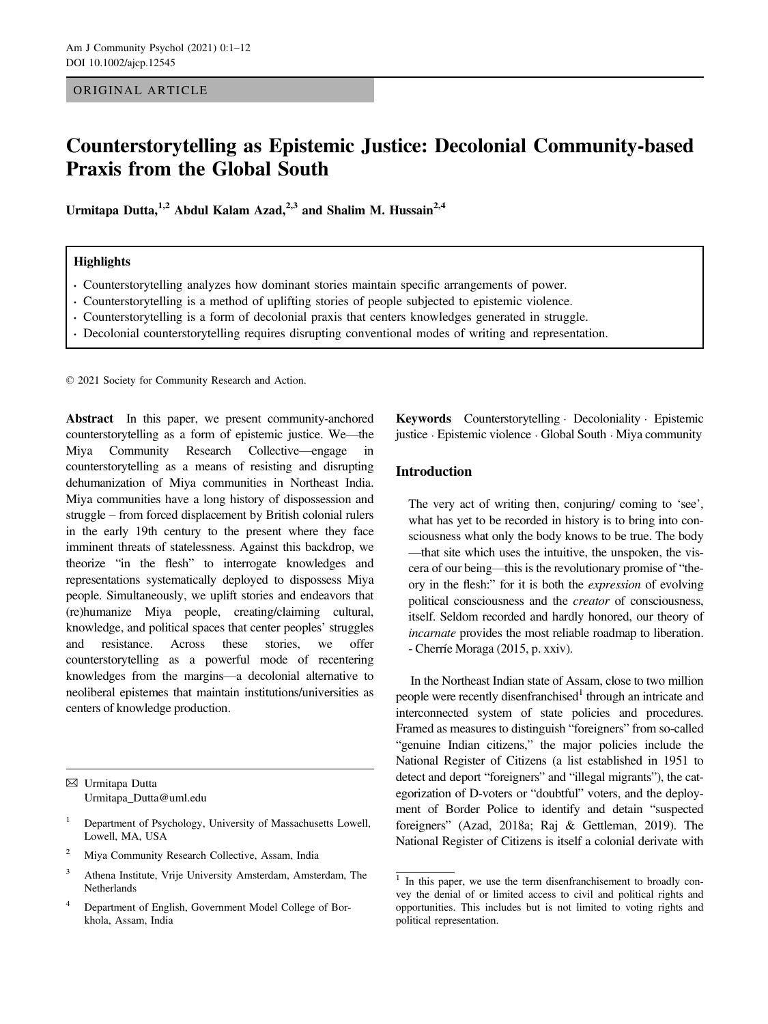#### ORIGINAL ARTICLE

# Counterstorytelling as Epistemic Justice: Decolonial Community-based Praxis from the Global South

Urmitapa Dutta,<sup>1,2</sup> Abdul Kalam Azad,<sup>2,3</sup> and Shalim M. Hussain<sup>2,4</sup>

#### **Highlights**

- Counterstorytelling analyzes how dominant stories maintain specific arrangements of power.
- Counterstorytelling is a method of uplifting stories of people subjected to epistemic violence.
- Counterstorytelling is a form of decolonial praxis that centers knowledges generated in struggle.
- Decolonial counterstorytelling requires disrupting conventional modes of writing and representation.

© 2021 Society for Community Research and Action.

Abstract In this paper, we present community-anchored counterstorytelling as a form of epistemic justice. We—the Miya Community Research Collective—engage in counterstorytelling as a means of resisting and disrupting dehumanization of Miya communities in Northeast India. Miya communities have a long history of dispossession and struggle – from forced displacement by British colonial rulers in the early 19th century to the present where they face imminent threats of statelessness. Against this backdrop, we theorize "in the flesh" to interrogate knowledges and representations systematically deployed to dispossess Miya people. Simultaneously, we uplift stories and endeavors that (re)humanize Miya people, creating/claiming cultural, knowledge, and political spaces that center peoples' struggles and resistance. Across these stories, we offer counterstorytelling as a powerful mode of recentering knowledges from the margins—a decolonial alternative to neoliberal epistemes that maintain institutions/universities as centers of knowledge production.

✉ Urmitapa Dutta [Urmitapa\\_Dutta@uml.edu](mailto:)

- <sup>1</sup> Department of Psychology, University of Massachusetts Lowell, Lowell, MA, USA
- <sup>2</sup> Miya Community Research Collective, Assam, India
- <sup>3</sup> Athena Institute, Vrije University Amsterdam, Amsterdam, The **Netherlands**
- <sup>4</sup> Department of English, Government Model College of Borkhola, Assam, India

Keywords Counterstorytelling Decoloniality Epistemic justice · Epistemic violence · Global South · Miya community

## Introduction

The very act of writing then, conjuring/ coming to 'see', what has yet to be recorded in history is to bring into consciousness what only the body knows to be true. The body —that site which uses the intuitive, the unspoken, the viscera of our being—this is the revolutionary promise of "theory in the flesh:" for it is both the expression of evolving political consciousness and the *creator* of consciousness, itself. Seldom recorded and hardly honored, our theory of incarnate provides the most reliable roadmap to liberation. - Cherríe Moraga (2015, p. xxiv).

In the Northeast Indian state of Assam, close to two million people were recently disenfranchised<sup>1</sup> through an intricate and interconnected system of state policies and procedures. Framed as measures to distinguish "foreigners" from so-called "genuine Indian citizens," the major policies include the National Register of Citizens (a list established in 1951 to detect and deport "foreigners" and "illegal migrants"), the categorization of D-voters or "doubtful" voters, and the deployment of Border Police to identify and detain "suspected foreigners" (Azad, 2018a; Raj & Gettleman, 2019). The National Register of Citizens is itself a colonial derivate with

 $1$  In this paper, we use the term disenfranchisement to broadly convey the denial of or limited access to civil and political rights and opportunities. This includes but is not limited to voting rights and political representation.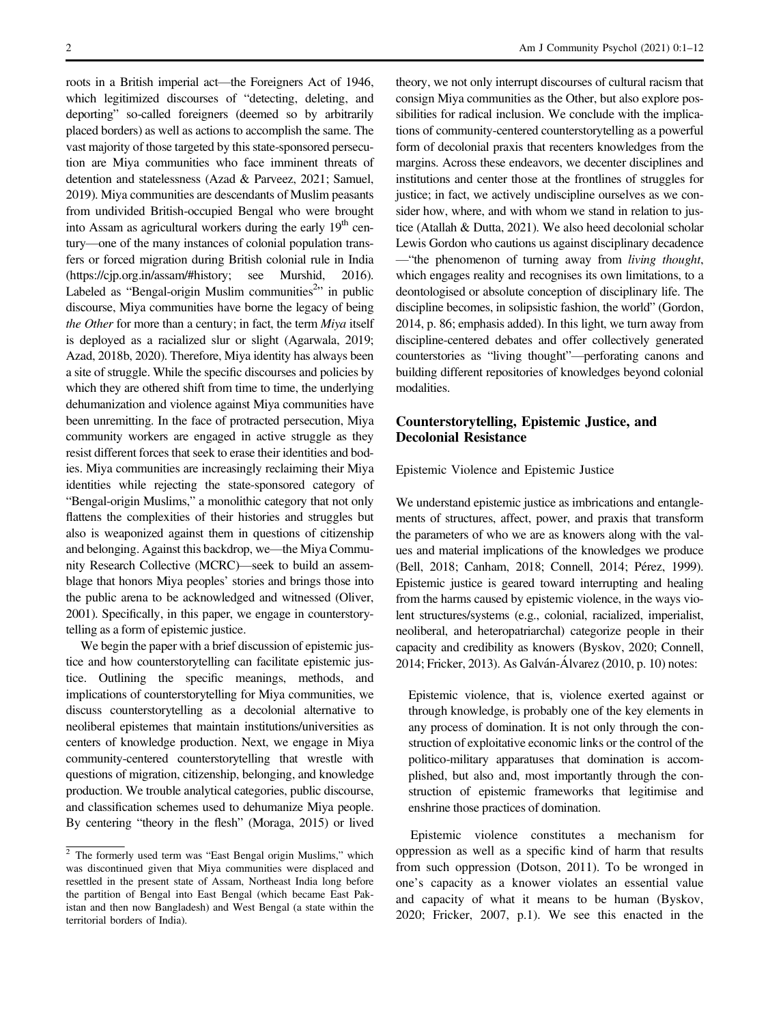roots in a British imperial act—the Foreigners Act of 1946, which legitimized discourses of "detecting, deleting, and deporting" so-called foreigners (deemed so by arbitrarily placed borders) as well as actions to accomplish the same. The vast majority of those targeted by this state-sponsored persecution are Miya communities who face imminent threats of detention and statelessness (Azad & Parveez, 2021; Samuel, 2019). Miya communities are descendants of Muslim peasants from undivided British-occupied Bengal who were brought into Assam as agricultural workers during the early  $19<sup>th</sup>$  century—one of the many instances of colonial population transfers or forced migration during British colonial rule in India [\(https://cjp.org.in/assam/#history](https://cjp.org.in/assam/#history); see Murshid, 2016). Labeled as "Bengal-origin Muslim communities<sup>2</sup>" in public discourse, Miya communities have borne the legacy of being the Other for more than a century; in fact, the term Miya itself is deployed as a racialized slur or slight (Agarwala, 2019; Azad, 2018b, 2020). Therefore, Miya identity has always been a site of struggle. While the specific discourses and policies by which they are othered shift from time to time, the underlying dehumanization and violence against Miya communities have been unremitting. In the face of protracted persecution, Miya community workers are engaged in active struggle as they resist different forces that seek to erase their identities and bodies. Miya communities are increasingly reclaiming their Miya identities while rejecting the state-sponsored category of "Bengal-origin Muslims," a monolithic category that not only flattens the complexities of their histories and struggles but also is weaponized against them in questions of citizenship and belonging. Against this backdrop, we—the Miya Community Research Collective (MCRC)—seek to build an assemblage that honors Miya peoples' stories and brings those into the public arena to be acknowledged and witnessed (Oliver, 2001). Specifically, in this paper, we engage in counterstorytelling as a form of epistemic justice.

We begin the paper with a brief discussion of epistemic justice and how counterstorytelling can facilitate epistemic justice. Outlining the specific meanings, methods, and implications of counterstorytelling for Miya communities, we discuss counterstorytelling as a decolonial alternative to neoliberal epistemes that maintain institutions/universities as centers of knowledge production. Next, we engage in Miya community-centered counterstorytelling that wrestle with questions of migration, citizenship, belonging, and knowledge production. We trouble analytical categories, public discourse, and classification schemes used to dehumanize Miya people. By centering "theory in the flesh" (Moraga, 2015) or lived

theory, we not only interrupt discourses of cultural racism that consign Miya communities as the Other, but also explore possibilities for radical inclusion. We conclude with the implications of community-centered counterstorytelling as a powerful form of decolonial praxis that recenters knowledges from the margins. Across these endeavors, we decenter disciplines and institutions and center those at the frontlines of struggles for justice; in fact, we actively undiscipline ourselves as we consider how, where, and with whom we stand in relation to justice (Atallah & Dutta, 2021). We also heed decolonial scholar Lewis Gordon who cautions us against disciplinary decadence — "the phenomenon of turning away from *living thought*, which engages reality and recognises its own limitations, to a deontologised or absolute conception of disciplinary life. The discipline becomes, in solipsistic fashion, the world" (Gordon, 2014, p. 86; emphasis added). In this light, we turn away from discipline-centered debates and offer collectively generated counterstories as "living thought"—perforating canons and building different repositories of knowledges beyond colonial modalities.

# Counterstorytelling, Epistemic Justice, and Decolonial Resistance

Epistemic Violence and Epistemic Justice

We understand epistemic justice as imbrications and entanglements of structures, affect, power, and praxis that transform the parameters of who we are as knowers along with the values and material implications of the knowledges we produce (Bell, 2018; Canham, 2018; Connell, 2014; Pérez, 1999). Epistemic justice is geared toward interrupting and healing from the harms caused by epistemic violence, in the ways violent structures/systems (e.g., colonial, racialized, imperialist, neoliberal, and heteropatriarchal) categorize people in their capacity and credibility as knowers (Byskov, 2020; Connell, 2014; Fricker, 2013). As Galvan-Alvarez (2010, p. 10) notes:

Epistemic violence, that is, violence exerted against or through knowledge, is probably one of the key elements in any process of domination. It is not only through the construction of exploitative economic links or the control of the politico-military apparatuses that domination is accomplished, but also and, most importantly through the construction of epistemic frameworks that legitimise and enshrine those practices of domination.

Epistemic violence constitutes a mechanism for oppression as well as a specific kind of harm that results from such oppression (Dotson, 2011). To be wronged in one's capacity as a knower violates an essential value and capacity of what it means to be human (Byskov, 2020; Fricker, 2007, p.1). We see this enacted in the

 $\overline{2}$  The formerly used term was "East Bengal origin Muslims," which was discontinued given that Miya communities were displaced and resettled in the present state of Assam, Northeast India long before the partition of Bengal into East Bengal (which became East Pakistan and then now Bangladesh) and West Bengal (a state within the territorial borders of India).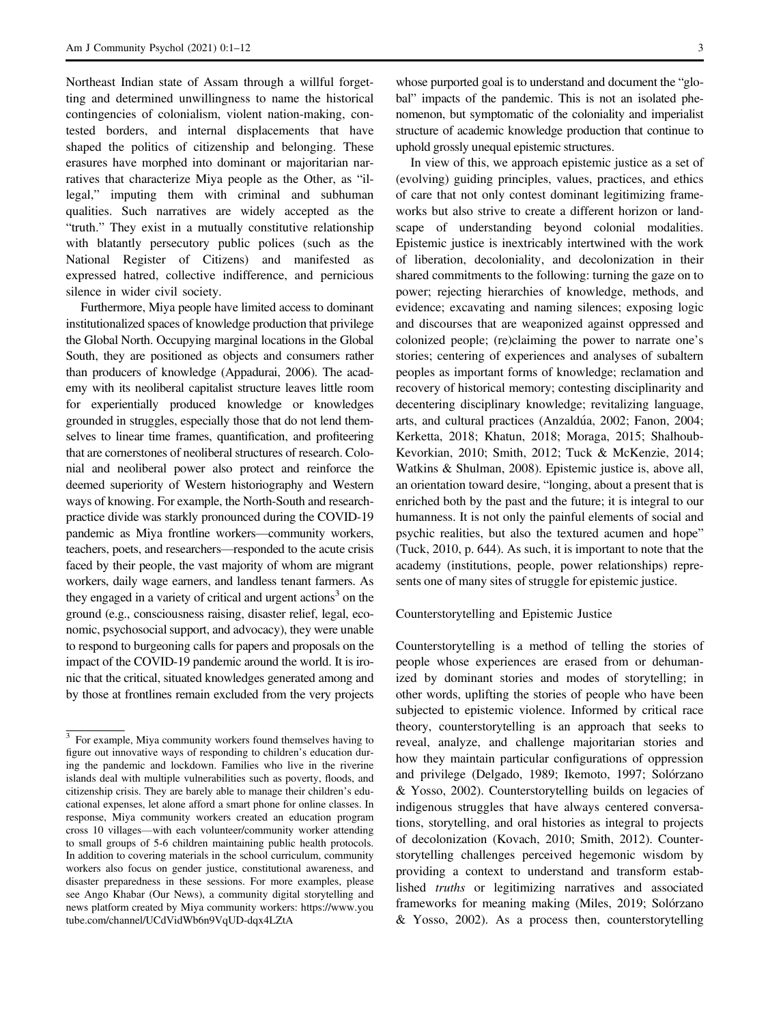Northeast Indian state of Assam through a willful forgetting and determined unwillingness to name the historical contingencies of colonialism, violent nation-making, contested borders, and internal displacements that have shaped the politics of citizenship and belonging. These erasures have morphed into dominant or majoritarian narratives that characterize Miya people as the Other, as "illegal," imputing them with criminal and subhuman qualities. Such narratives are widely accepted as the "truth." They exist in a mutually constitutive relationship with blatantly persecutory public polices (such as the National Register of Citizens) and manifested as expressed hatred, collective indifference, and pernicious silence in wider civil society.

Furthermore, Miya people have limited access to dominant institutionalized spaces of knowledge production that privilege the Global North. Occupying marginal locations in the Global South, they are positioned as objects and consumers rather than producers of knowledge (Appadurai, 2006). The academy with its neoliberal capitalist structure leaves little room for experientially produced knowledge or knowledges grounded in struggles, especially those that do not lend themselves to linear time frames, quantification, and profiteering that are cornerstones of neoliberal structures of research. Colonial and neoliberal power also protect and reinforce the deemed superiority of Western historiography and Western ways of knowing. For example, the North-South and researchpractice divide was starkly pronounced during the COVID-19 pandemic as Miya frontline workers—community workers, teachers, poets, and researchers—responded to the acute crisis faced by their people, the vast majority of whom are migrant workers, daily wage earners, and landless tenant farmers. As they engaged in a variety of critical and urgent actions<sup>3</sup> on the ground (e.g., consciousness raising, disaster relief, legal, economic, psychosocial support, and advocacy), they were unable to respond to burgeoning calls for papers and proposals on the impact of the COVID-19 pandemic around the world. It is ironic that the critical, situated knowledges generated among and by those at frontlines remain excluded from the very projects

whose purported goal is to understand and document the "global" impacts of the pandemic. This is not an isolated phenomenon, but symptomatic of the coloniality and imperialist structure of academic knowledge production that continue to uphold grossly unequal epistemic structures.

In view of this, we approach epistemic justice as a set of (evolving) guiding principles, values, practices, and ethics of care that not only contest dominant legitimizing frameworks but also strive to create a different horizon or landscape of understanding beyond colonial modalities. Epistemic justice is inextricably intertwined with the work of liberation, decoloniality, and decolonization in their shared commitments to the following: turning the gaze on to power; rejecting hierarchies of knowledge, methods, and evidence; excavating and naming silences; exposing logic and discourses that are weaponized against oppressed and colonized people; (re)claiming the power to narrate one's stories; centering of experiences and analyses of subaltern peoples as important forms of knowledge; reclamation and recovery of historical memory; contesting disciplinarity and decentering disciplinary knowledge; revitalizing language, arts, and cultural practices (Anzaldúa, 2002; Fanon, 2004; Kerketta, 2018; Khatun, 2018; Moraga, 2015; Shalhoub-Kevorkian, 2010; Smith, 2012; Tuck & McKenzie, 2014; Watkins & Shulman, 2008). Epistemic justice is, above all, an orientation toward desire, "longing, about a present that is enriched both by the past and the future; it is integral to our humanness. It is not only the painful elements of social and psychic realities, but also the textured acumen and hope" (Tuck, 2010, p. 644). As such, it is important to note that the academy (institutions, people, power relationships) represents one of many sites of struggle for epistemic justice.

#### Counterstorytelling and Epistemic Justice

Counterstorytelling is a method of telling the stories of people whose experiences are erased from or dehumanized by dominant stories and modes of storytelling; in other words, uplifting the stories of people who have been subjected to epistemic violence. Informed by critical race theory, counterstorytelling is an approach that seeks to reveal, analyze, and challenge majoritarian stories and how they maintain particular configurations of oppression and privilege (Delgado, 1989; Ikemoto, 1997; Solórzano & Yosso, 2002). Counterstorytelling builds on legacies of indigenous struggles that have always centered conversations, storytelling, and oral histories as integral to projects of decolonization (Kovach, 2010; Smith, 2012). Counterstorytelling challenges perceived hegemonic wisdom by providing a context to understand and transform established truths or legitimizing narratives and associated frameworks for meaning making (Miles, 2019; Solórzano & Yosso, 2002). As a process then, counterstorytelling

<sup>&</sup>lt;sup>3</sup> For example, Miya community workers found themselves having to figure out innovative ways of responding to children's education during the pandemic and lockdown. Families who live in the riverine islands deal with multiple vulnerabilities such as poverty, floods, and citizenship crisis. They are barely able to manage their children's educational expenses, let alone afford a smart phone for online classes. In response, Miya community workers created an education program cross 10 villages—with each volunteer/community worker attending to small groups of 5-6 children maintaining public health protocols. In addition to covering materials in the school curriculum, community workers also focus on gender justice, constitutional awareness, and disaster preparedness in these sessions. For more examples, please see Ango Khabar (Our News), a community digital storytelling and news platform created by Miya community workers: [https://www.you](https://indianexpress.com/article/opinion/columns/assam-miya-poetry-culture-nrc-5895176/) [tube.com/channel/UCdVidWb6n9VqUD-dqx4LZtA](https://indianexpress.com/article/opinion/columns/assam-miya-poetry-culture-nrc-5895176/)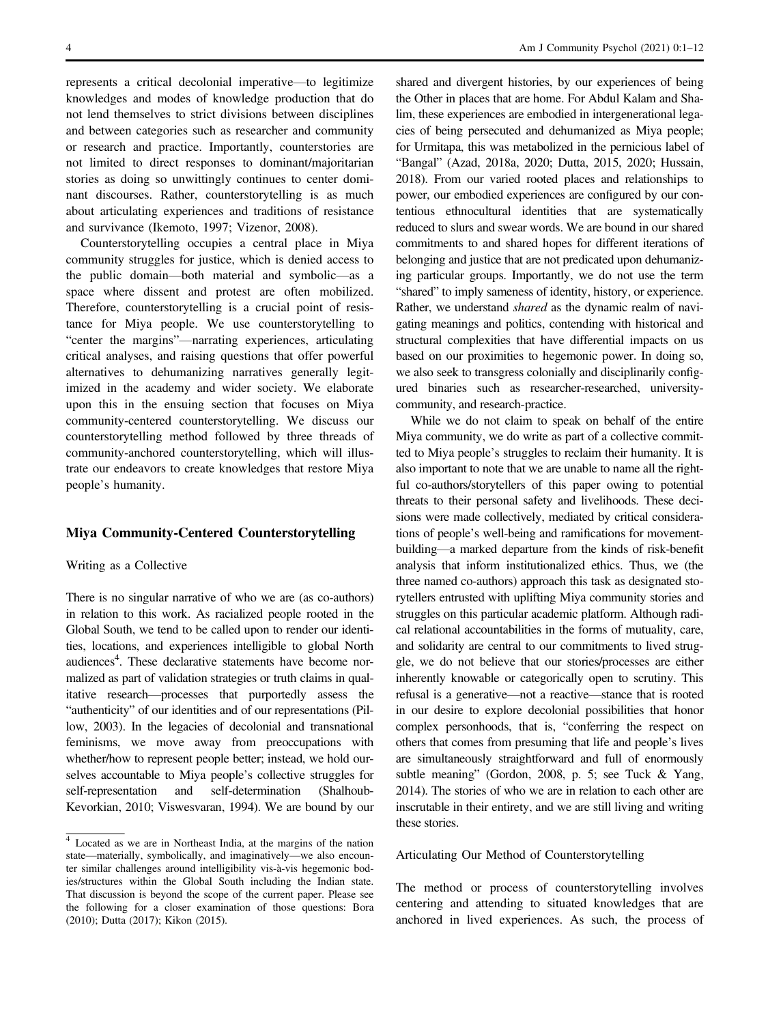represents a critical decolonial imperative—to legitimize knowledges and modes of knowledge production that do not lend themselves to strict divisions between disciplines and between categories such as researcher and community or research and practice. Importantly, counterstories are not limited to direct responses to dominant/majoritarian stories as doing so unwittingly continues to center dominant discourses. Rather, counterstorytelling is as much about articulating experiences and traditions of resistance and survivance (Ikemoto, 1997; Vizenor, 2008).

Counterstorytelling occupies a central place in Miya community struggles for justice, which is denied access to the public domain—both material and symbolic—as a space where dissent and protest are often mobilized. Therefore, counterstorytelling is a crucial point of resistance for Miya people. We use counterstorytelling to "center the margins"—narrating experiences, articulating critical analyses, and raising questions that offer powerful alternatives to dehumanizing narratives generally legitimized in the academy and wider society. We elaborate upon this in the ensuing section that focuses on Miya community-centered counterstorytelling. We discuss our counterstorytelling method followed by three threads of community-anchored counterstorytelling, which will illustrate our endeavors to create knowledges that restore Miya people's humanity.

#### Miya Community-Centered Counterstorytelling

#### Writing as a Collective

There is no singular narrative of who we are (as co-authors) in relation to this work. As racialized people rooted in the Global South, we tend to be called upon to render our identities, locations, and experiences intelligible to global North audiences<sup>4</sup>. These declarative statements have become normalized as part of validation strategies or truth claims in qualitative research—processes that purportedly assess the "authenticity" of our identities and of our representations (Pillow, 2003). In the legacies of decolonial and transnational feminisms, we move away from preoccupations with whether/how to represent people better; instead, we hold ourselves accountable to Miya people's collective struggles for self-representation and self-determination (Shalhoub-Kevorkian, 2010; Viswesvaran, 1994). We are bound by our shared and divergent histories, by our experiences of being the Other in places that are home. For Abdul Kalam and Shalim, these experiences are embodied in intergenerational legacies of being persecuted and dehumanized as Miya people; for Urmitapa, this was metabolized in the pernicious label of "Bangal" (Azad, 2018a, 2020; Dutta, 2015, 2020; Hussain, 2018). From our varied rooted places and relationships to power, our embodied experiences are configured by our contentious ethnocultural identities that are systematically reduced to slurs and swear words. We are bound in our shared commitments to and shared hopes for different iterations of belonging and justice that are not predicated upon dehumanizing particular groups. Importantly, we do not use the term "shared" to imply sameness of identity, history, or experience. Rather, we understand shared as the dynamic realm of navigating meanings and politics, contending with historical and structural complexities that have differential impacts on us based on our proximities to hegemonic power. In doing so, we also seek to transgress colonially and disciplinarily configured binaries such as researcher-researched, universitycommunity, and research-practice.

While we do not claim to speak on behalf of the entire Miya community, we do write as part of a collective committed to Miya people's struggles to reclaim their humanity. It is also important to note that we are unable to name all the rightful co-authors/storytellers of this paper owing to potential threats to their personal safety and livelihoods. These decisions were made collectively, mediated by critical considerations of people's well-being and ramifications for movementbuilding—a marked departure from the kinds of risk-benefit analysis that inform institutionalized ethics. Thus, we (the three named co-authors) approach this task as designated storytellers entrusted with uplifting Miya community stories and struggles on this particular academic platform. Although radical relational accountabilities in the forms of mutuality, care, and solidarity are central to our commitments to lived struggle, we do not believe that our stories/processes are either inherently knowable or categorically open to scrutiny. This refusal is a generative—not a reactive—stance that is rooted in our desire to explore decolonial possibilities that honor complex personhoods, that is, "conferring the respect on others that comes from presuming that life and people's lives are simultaneously straightforward and full of enormously subtle meaning" (Gordon, 2008, p. 5; see Tuck & Yang, 2014). The stories of who we are in relation to each other are inscrutable in their entirety, and we are still living and writing these stories.

#### Articulating Our Method of Counterstorytelling

The method or process of counterstorytelling involves centering and attending to situated knowledges that are anchored in lived experiences. As such, the process of

<sup>4</sup> Located as we are in Northeast India, at the margins of the nation state—materially, symbolically, and imaginatively—we also encounter similar challenges around intelligibility vis-à-vis hegemonic bodies/structures within the Global South including the Indian state. That discussion is beyond the scope of the current paper. Please see the following for a closer examination of those questions: Bora (2010); Dutta (2017); Kikon (2015).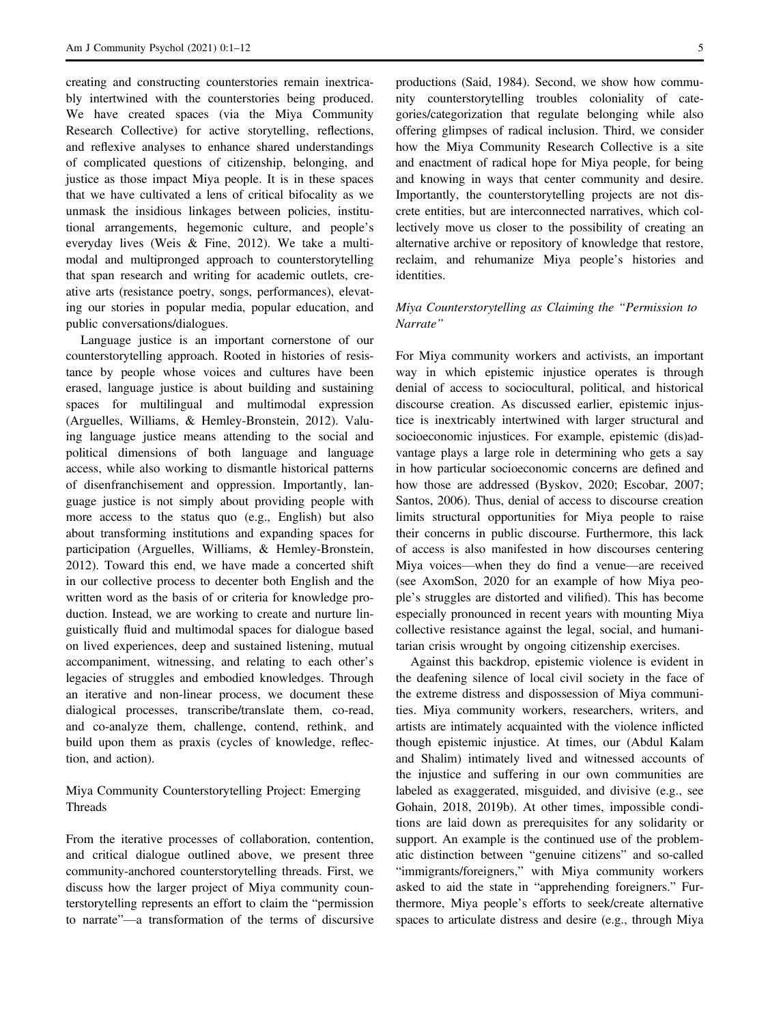creating and constructing counterstories remain inextricably intertwined with the counterstories being produced. We have created spaces (via the Miya Community Research Collective) for active storytelling, reflections, and reflexive analyses to enhance shared understandings of complicated questions of citizenship, belonging, and justice as those impact Miya people. It is in these spaces that we have cultivated a lens of critical bifocality as we unmask the insidious linkages between policies, institutional arrangements, hegemonic culture, and people's everyday lives (Weis & Fine, 2012). We take a multimodal and multipronged approach to counterstorytelling that span research and writing for academic outlets, creative arts (resistance poetry, songs, performances), elevating our stories in popular media, popular education, and public conversations/dialogues.

Language justice is an important cornerstone of our counterstorytelling approach. Rooted in histories of resistance by people whose voices and cultures have been erased, language justice is about building and sustaining spaces for multilingual and multimodal expression (Arguelles, Williams, & Hemley-Bronstein, 2012). Valuing language justice means attending to the social and political dimensions of both language and language access, while also working to dismantle historical patterns of disenfranchisement and oppression. Importantly, language justice is not simply about providing people with more access to the status quo (e.g., English) but also about transforming institutions and expanding spaces for participation (Arguelles, Williams, & Hemley-Bronstein, 2012). Toward this end, we have made a concerted shift in our collective process to decenter both English and the written word as the basis of or criteria for knowledge production. Instead, we are working to create and nurture linguistically fluid and multimodal spaces for dialogue based on lived experiences, deep and sustained listening, mutual accompaniment, witnessing, and relating to each other's legacies of struggles and embodied knowledges. Through an iterative and non-linear process, we document these dialogical processes, transcribe/translate them, co-read, and co-analyze them, challenge, contend, rethink, and build upon them as praxis (cycles of knowledge, reflection, and action).

## Miya Community Counterstorytelling Project: Emerging Threads

From the iterative processes of collaboration, contention, and critical dialogue outlined above, we present three community-anchored counterstorytelling threads. First, we discuss how the larger project of Miya community counterstorytelling represents an effort to claim the "permission to narrate"—a transformation of the terms of discursive

productions (Said, 1984). Second, we show how community counterstorytelling troubles coloniality of categories/categorization that regulate belonging while also offering glimpses of radical inclusion. Third, we consider how the Miya Community Research Collective is a site and enactment of radical hope for Miya people, for being and knowing in ways that center community and desire. Importantly, the counterstorytelling projects are not discrete entities, but are interconnected narratives, which collectively move us closer to the possibility of creating an alternative archive or repository of knowledge that restore, reclaim, and rehumanize Miya people's histories and identities.

## Miya Counterstorytelling as Claiming the "Permission to Narrate"

For Miya community workers and activists, an important way in which epistemic injustice operates is through denial of access to sociocultural, political, and historical discourse creation. As discussed earlier, epistemic injustice is inextricably intertwined with larger structural and socioeconomic injustices. For example, epistemic (dis)advantage plays a large role in determining who gets a say in how particular socioeconomic concerns are defined and how those are addressed (Byskov, 2020; Escobar, 2007; Santos, 2006). Thus, denial of access to discourse creation limits structural opportunities for Miya people to raise their concerns in public discourse. Furthermore, this lack of access is also manifested in how discourses centering Miya voices—when they do find a venue—are received (see AxomSon, 2020 for an example of how Miya people's struggles are distorted and vilified). This has become especially pronounced in recent years with mounting Miya collective resistance against the legal, social, and humanitarian crisis wrought by ongoing citizenship exercises.

Against this backdrop, epistemic violence is evident in the deafening silence of local civil society in the face of the extreme distress and dispossession of Miya communities. Miya community workers, researchers, writers, and artists are intimately acquainted with the violence inflicted though epistemic injustice. At times, our (Abdul Kalam and Shalim) intimately lived and witnessed accounts of the injustice and suffering in our own communities are labeled as exaggerated, misguided, and divisive (e.g., see Gohain, 2018, 2019b). At other times, impossible conditions are laid down as prerequisites for any solidarity or support. An example is the continued use of the problematic distinction between "genuine citizens" and so-called "immigrants/foreigners," with Miya community workers asked to aid the state in "apprehending foreigners." Furthermore, Miya people's efforts to seek/create alternative spaces to articulate distress and desire (e.g., through Miya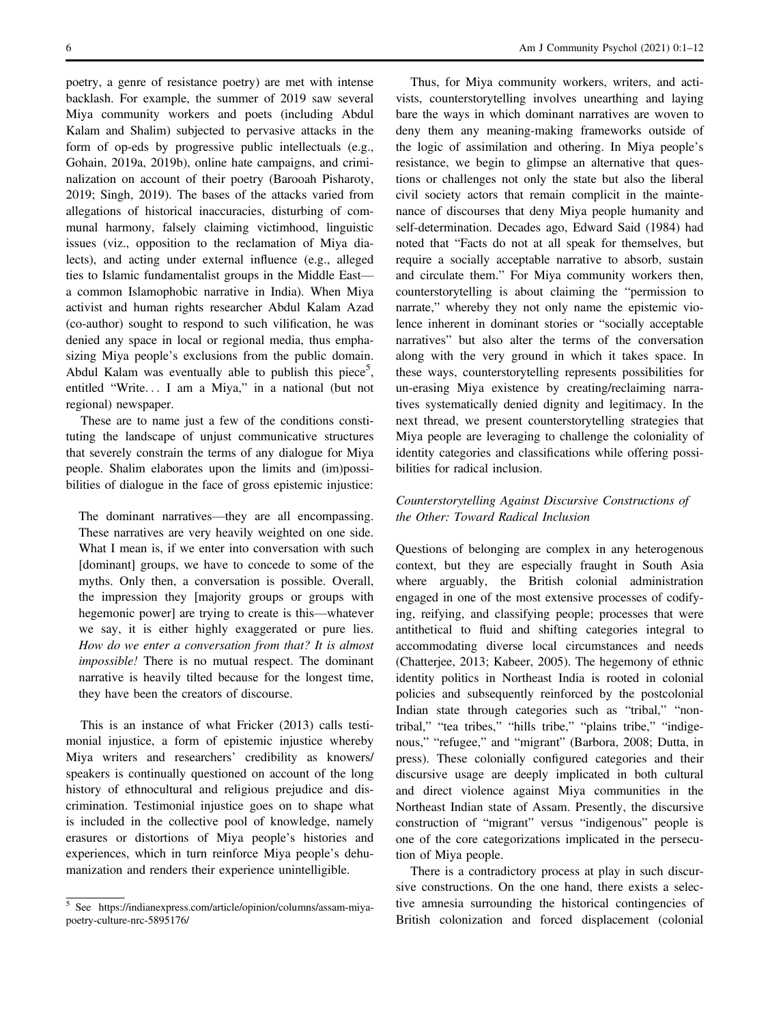poetry, a genre of resistance poetry) are met with intense backlash. For example, the summer of 2019 saw several Miya community workers and poets (including Abdul Kalam and Shalim) subjected to pervasive attacks in the form of op-eds by progressive public intellectuals (e.g., Gohain, 2019a, 2019b), online hate campaigns, and criminalization on account of their poetry (Barooah Pisharoty, 2019; Singh, 2019). The bases of the attacks varied from allegations of historical inaccuracies, disturbing of communal harmony, falsely claiming victimhood, linguistic issues (viz., opposition to the reclamation of Miya dialects), and acting under external influence (e.g., alleged ties to Islamic fundamentalist groups in the Middle East a common Islamophobic narrative in India). When Miya activist and human rights researcher Abdul Kalam Azad (co-author) sought to respond to such vilification, he was denied any space in local or regional media, thus emphasizing Miya people's exclusions from the public domain. Abdul Kalam was eventually able to publish this piece<sup>5</sup>, entitled "Write... I am a Miya," in a national (but not regional) newspaper.

These are to name just a few of the conditions constituting the landscape of unjust communicative structures that severely constrain the terms of any dialogue for Miya people. Shalim elaborates upon the limits and (im)possibilities of dialogue in the face of gross epistemic injustice:

The dominant narratives—they are all encompassing. These narratives are very heavily weighted on one side. What I mean is, if we enter into conversation with such [dominant] groups, we have to concede to some of the myths. Only then, a conversation is possible. Overall, the impression they [majority groups or groups with hegemonic power] are trying to create is this—whatever we say, it is either highly exaggerated or pure lies. How do we enter a conversation from that? It is almost impossible! There is no mutual respect. The dominant narrative is heavily tilted because for the longest time, they have been the creators of discourse.

This is an instance of what Fricker (2013) calls testimonial injustice, a form of epistemic injustice whereby Miya writers and researchers' credibility as knowers/ speakers is continually questioned on account of the long history of ethnocultural and religious prejudice and discrimination. Testimonial injustice goes on to shape what is included in the collective pool of knowledge, namely erasures or distortions of Miya people's histories and experiences, which in turn reinforce Miya people's dehumanization and renders their experience unintelligible.

Thus, for Miya community workers, writers, and activists, counterstorytelling involves unearthing and laying bare the ways in which dominant narratives are woven to deny them any meaning-making frameworks outside of the logic of assimilation and othering. In Miya people's resistance, we begin to glimpse an alternative that questions or challenges not only the state but also the liberal civil society actors that remain complicit in the maintenance of discourses that deny Miya people humanity and self-determination. Decades ago, Edward Said (1984) had noted that "Facts do not at all speak for themselves, but require a socially acceptable narrative to absorb, sustain and circulate them." For Miya community workers then, counterstorytelling is about claiming the "permission to narrate," whereby they not only name the epistemic violence inherent in dominant stories or "socially acceptable narratives" but also alter the terms of the conversation along with the very ground in which it takes space. In these ways, counterstorytelling represents possibilities for un-erasing Miya existence by creating/reclaiming narratives systematically denied dignity and legitimacy. In the next thread, we present counterstorytelling strategies that Miya people are leveraging to challenge the coloniality of identity categories and classifications while offering possibilities for radical inclusion.

## Counterstorytelling Against Discursive Constructions of the Other: Toward Radical Inclusion

Questions of belonging are complex in any heterogenous context, but they are especially fraught in South Asia where arguably, the British colonial administration engaged in one of the most extensive processes of codifying, reifying, and classifying people; processes that were antithetical to fluid and shifting categories integral to accommodating diverse local circumstances and needs (Chatterjee, 2013; Kabeer, 2005). The hegemony of ethnic identity politics in Northeast India is rooted in colonial policies and subsequently reinforced by the postcolonial Indian state through categories such as "tribal," "nontribal," "tea tribes," "hills tribe," "plains tribe," "indigenous," "refugee," and "migrant" (Barbora, 2008; Dutta, in press). These colonially configured categories and their discursive usage are deeply implicated in both cultural and direct violence against Miya communities in the Northeast Indian state of Assam. Presently, the discursive construction of "migrant" versus "indigenous" people is one of the core categorizations implicated in the persecution of Miya people.

There is a contradictory process at play in such discursive constructions. On the one hand, there exists a selective amnesia surrounding the historical contingencies of British colonization and forced displacement (colonial

 $\frac{5}{5}$  See [https://indianexpress.com/article/opinion/columns/assam-miya](https://indianexpress.com/article/opinion/columns/assam-miya-poetry-culture-nrc-5895176/)[poetry-culture-nrc-5895176/](https://indianexpress.com/article/opinion/columns/assam-miya-poetry-culture-nrc-5895176/)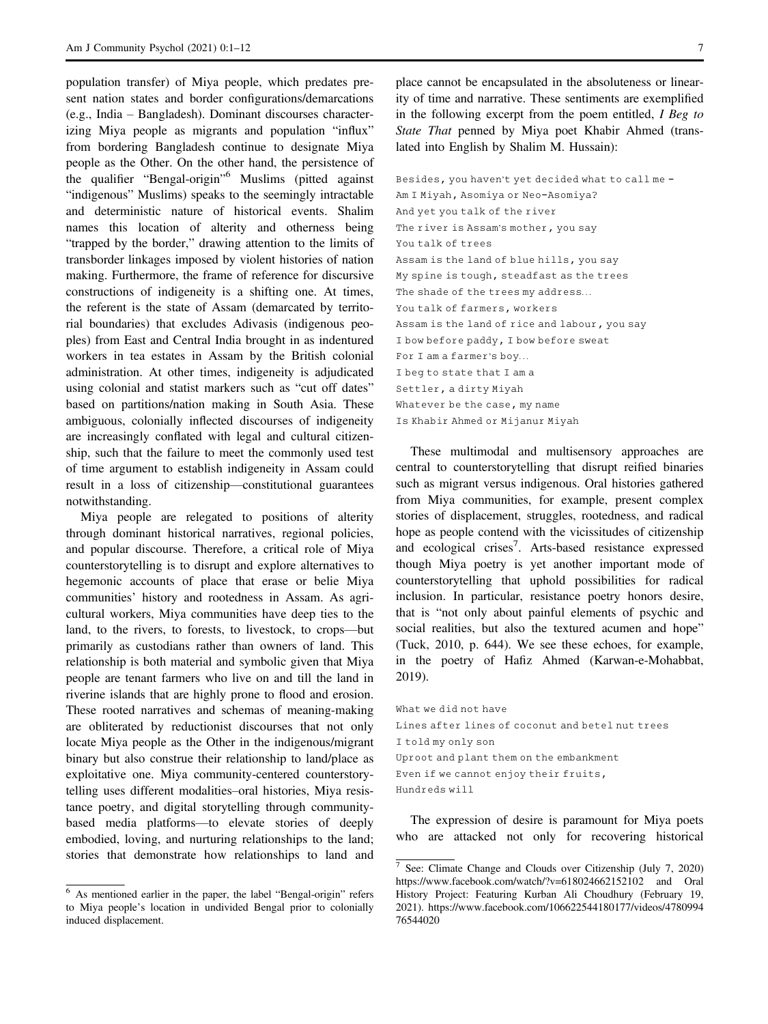population transfer) of Miya people, which predates present nation states and border configurations/demarcations (e.g., India – Bangladesh). Dominant discourses characterizing Miya people as migrants and population "influx" from bordering Bangladesh continue to designate Miya people as the Other. On the other hand, the persistence of the qualifier "Bengal-origin" <sup>6</sup> Muslims (pitted against "indigenous" Muslims) speaks to the seemingly intractable and deterministic nature of historical events. Shalim names this location of alterity and otherness being "trapped by the border," drawing attention to the limits of transborder linkages imposed by violent histories of nation making. Furthermore, the frame of reference for discursive constructions of indigeneity is a shifting one. At times, the referent is the state of Assam (demarcated by territorial boundaries) that excludes Adivasis (indigenous peoples) from East and Central India brought in as indentured workers in tea estates in Assam by the British colonial administration. At other times, indigeneity is adjudicated using colonial and statist markers such as "cut off dates" based on partitions/nation making in South Asia. These ambiguous, colonially inflected discourses of indigeneity are increasingly conflated with legal and cultural citizenship, such that the failure to meet the commonly used test of time argument to establish indigeneity in Assam could result in a loss of citizenship—constitutional guarantees notwithstanding.

Miya people are relegated to positions of alterity through dominant historical narratives, regional policies, and popular discourse. Therefore, a critical role of Miya counterstorytelling is to disrupt and explore alternatives to hegemonic accounts of place that erase or belie Miya communities' history and rootedness in Assam. As agricultural workers, Miya communities have deep ties to the land, to the rivers, to forests, to livestock, to crops—but primarily as custodians rather than owners of land. This relationship is both material and symbolic given that Miya people are tenant farmers who live on and till the land in riverine islands that are highly prone to flood and erosion. These rooted narratives and schemas of meaning-making are obliterated by reductionist discourses that not only locate Miya people as the Other in the indigenous/migrant binary but also construe their relationship to land/place as exploitative one. Miya community-centered counterstorytelling uses different modalities–oral histories, Miya resistance poetry, and digital storytelling through communitybased media platforms—to elevate stories of deeply embodied, loving, and nurturing relationships to the land; stories that demonstrate how relationships to land and

place cannot be encapsulated in the absoluteness or linearity of time and narrative. These sentiments are exemplified in the following excerpt from the poem entitled, I Beg to State That penned by Miya poet Khabir Ahmed (translated into English by Shalim M. Hussain):

Besides, you haven't yet decided what to call me - Am I Miyah, Asomiya or Neo-Asomiya? And yet you talk of the river The river is Assam's mother, you say You talk of trees Assam is the land of blue hills, you say My spine is tough, steadfast as the trees The shade of the trees my address... You talk of farmers, workers Assam is the land of rice and labour, you say I bow before paddy, I bow before sweat For I am a farmer's boy... I beg to state that I am a Settler, a dirty Miyah Whatever be the case, my name Is Khabir Ahmed or Mijanur Miyah

These multimodal and multisensory approaches are central to counterstorytelling that disrupt reified binaries such as migrant versus indigenous. Oral histories gathered from Miya communities, for example, present complex stories of displacement, struggles, rootedness, and radical hope as people contend with the vicissitudes of citizenship and ecological crises<sup>7</sup>. Arts-based resistance expressed though Miya poetry is yet another important mode of counterstorytelling that uphold possibilities for radical inclusion. In particular, resistance poetry honors desire, that is "not only about painful elements of psychic and social realities, but also the textured acumen and hope" (Tuck, 2010, p. 644). We see these echoes, for example, in the poetry of Hafiz Ahmed (Karwan-e-Mohabbat, 2019).

What we did not have Lines after lines of coconut and betel nut trees I told my only son Uproot and plant them on the embankment Even if we cannot enjoy their fruits, Hundreds will

The expression of desire is paramount for Miya poets who are attacked not only for recovering historical

<sup>6</sup> As mentioned earlier in the paper, the label "Bengal-origin" refers to Miya people's location in undivided Bengal prior to colonially induced displacement.

 $\frac{7}{7}$  See: Climate Change and Clouds over Citizenship (July 7, 2020) <https://www.facebook.com/watch/?v=618024662152102> and Oral History Project: Featuring Kurban Ali Choudhury (February 19, 2021). [https://www.facebook.com/106622544180177/videos/4780994](https://www.youtube.com/channel/UCdVidWb6n9VqUD-dqx4LZtA) [76544020](https://www.youtube.com/channel/UCdVidWb6n9VqUD-dqx4LZtA)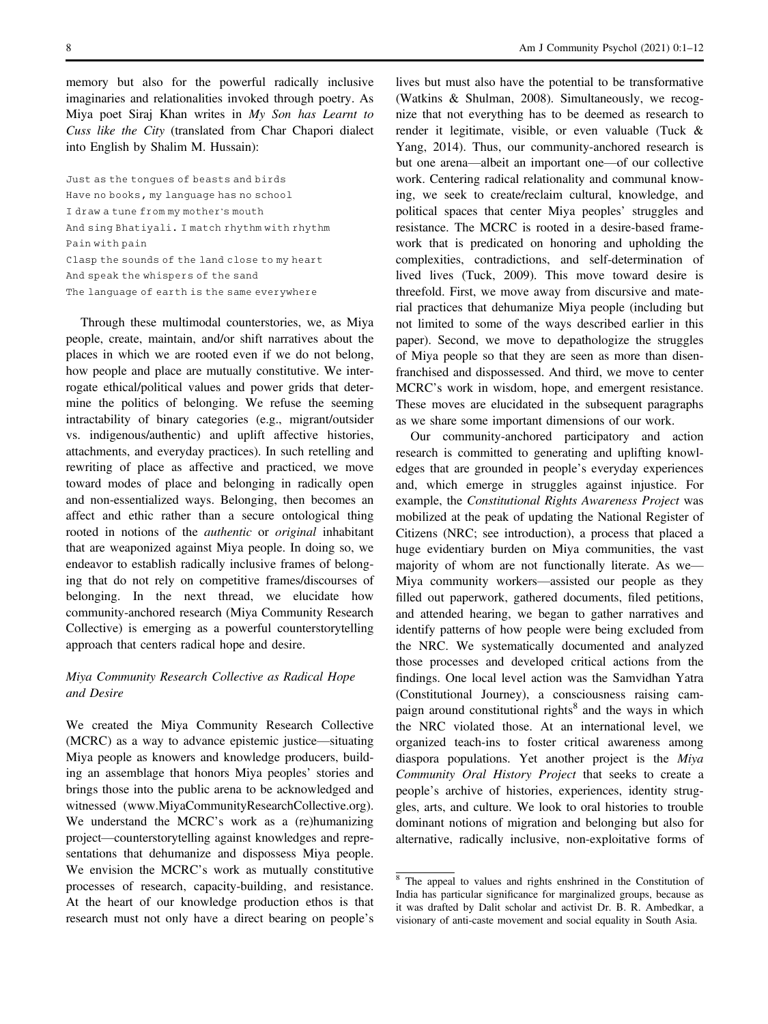memory but also for the powerful radically inclusive imaginaries and relationalities invoked through poetry. As Miya poet Siraj Khan writes in My Son has Learnt to Cuss like the City (translated from Char Chapori dialect into English by Shalim M. Hussain):

Just as the tongues of beasts and birds Have no books, my language has no school I draw a tune from my mother's mouth And sing Bhatiyali. I match rhythm with rhythm Pain with pain Clasp the sounds of the land close to my heart And speak the whispers of the sand The language of earth is the same everywhere

Through these multimodal counterstories, we, as Miya people, create, maintain, and/or shift narratives about the places in which we are rooted even if we do not belong, how people and place are mutually constitutive. We interrogate ethical/political values and power grids that determine the politics of belonging. We refuse the seeming intractability of binary categories (e.g., migrant/outsider vs. indigenous/authentic) and uplift affective histories, attachments, and everyday practices). In such retelling and rewriting of place as affective and practiced, we move toward modes of place and belonging in radically open and non-essentialized ways. Belonging, then becomes an affect and ethic rather than a secure ontological thing rooted in notions of the *authentic* or *original* inhabitant that are weaponized against Miya people. In doing so, we endeavor to establish radically inclusive frames of belonging that do not rely on competitive frames/discourses of belonging. In the next thread, we elucidate how community-anchored research (Miya Community Research Collective) is emerging as a powerful counterstorytelling approach that centers radical hope and desire.

## Miya Community Research Collective as Radical Hope and Desire

We created the Miya Community Research Collective (MCRC) as a way to advance epistemic justice—situating Miya people as knowers and knowledge producers, building an assemblage that honors Miya peoples' stories and brings those into the public arena to be acknowledged and witnessed ([www.MiyaCommunityResearchCollective.org](http://www.MiyaCommunityResearchCollective.org)). We understand the MCRC's work as a (re)humanizing project—counterstorytelling against knowledges and representations that dehumanize and dispossess Miya people. We envision the MCRC's work as mutually constitutive processes of research, capacity-building, and resistance. At the heart of our knowledge production ethos is that research must not only have a direct bearing on people's lives but must also have the potential to be transformative (Watkins & Shulman, 2008). Simultaneously, we recognize that not everything has to be deemed as research to render it legitimate, visible, or even valuable (Tuck & Yang, 2014). Thus, our community-anchored research is but one arena—albeit an important one—of our collective work. Centering radical relationality and communal knowing, we seek to create/reclaim cultural, knowledge, and political spaces that center Miya peoples' struggles and resistance. The MCRC is rooted in a desire-based framework that is predicated on honoring and upholding the complexities, contradictions, and self-determination of lived lives (Tuck, 2009). This move toward desire is threefold. First, we move away from discursive and material practices that dehumanize Miya people (including but not limited to some of the ways described earlier in this paper). Second, we move to depathologize the struggles of Miya people so that they are seen as more than disenfranchised and dispossessed. And third, we move to center MCRC's work in wisdom, hope, and emergent resistance. These moves are elucidated in the subsequent paragraphs as we share some important dimensions of our work.

Our community-anchored participatory and action research is committed to generating and uplifting knowledges that are grounded in people's everyday experiences and, which emerge in struggles against injustice. For example, the Constitutional Rights Awareness Project was mobilized at the peak of updating the National Register of Citizens (NRC; see introduction), a process that placed a huge evidentiary burden on Miya communities, the vast majority of whom are not functionally literate. As we— Miya community workers—assisted our people as they filled out paperwork, gathered documents, filed petitions, and attended hearing, we began to gather narratives and identify patterns of how people were being excluded from the NRC. We systematically documented and analyzed those processes and developed critical actions from the findings. One local level action was the Samvidhan Yatra (Constitutional Journey), a consciousness raising campaign around constitutional rights<sup>8</sup> and the ways in which the NRC violated those. At an international level, we organized teach-ins to foster critical awareness among diaspora populations. Yet another project is the Miya Community Oral History Project that seeks to create a people's archive of histories, experiences, identity struggles, arts, and culture. We look to oral histories to trouble dominant notions of migration and belonging but also for alternative, radically inclusive, non-exploitative forms of

<sup>8</sup> The appeal to values and rights enshrined in the Constitution of India has particular significance for marginalized groups, because as it was drafted by Dalit scholar and activist Dr. B. R. Ambedkar, a visionary of anti-caste movement and social equality in South Asia.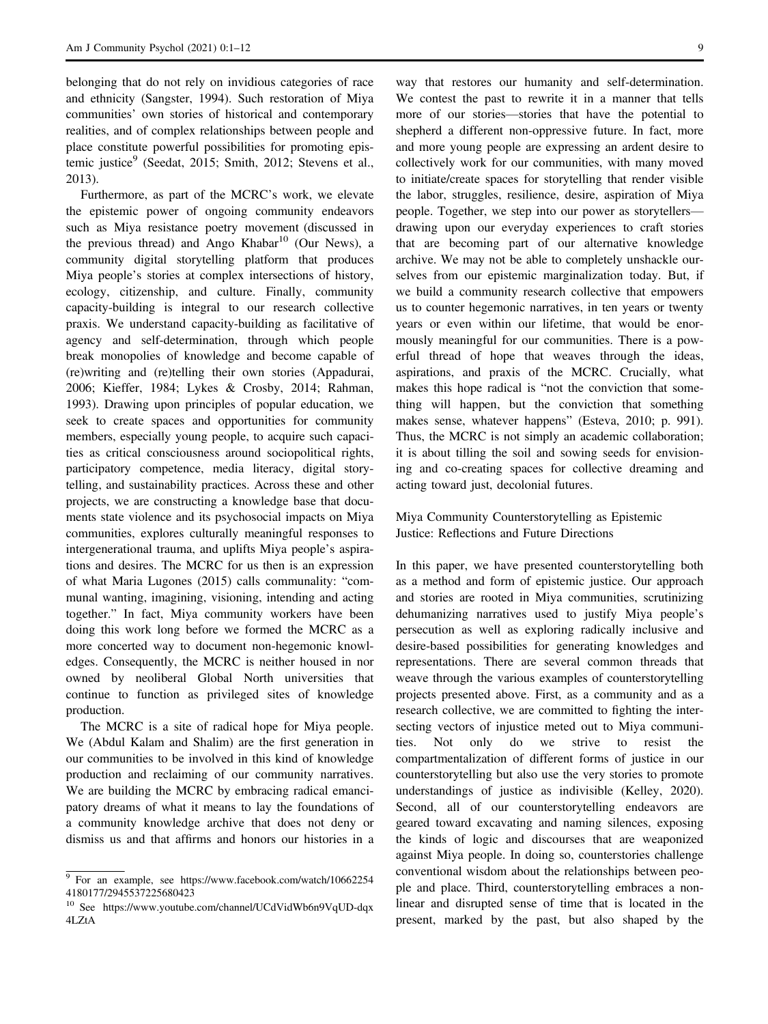belonging that do not rely on invidious categories of race and ethnicity (Sangster, 1994). Such restoration of Miya communities' own stories of historical and contemporary realities, and of complex relationships between people and place constitute powerful possibilities for promoting epistemic justice<sup>9</sup> (Seedat, 2015; Smith, 2012; Stevens et al., 2013).

Furthermore, as part of the MCRC's work, we elevate the epistemic power of ongoing community endeavors such as Miya resistance poetry movement (discussed in the previous thread) and Ango Khabar<sup>10</sup> (Our News), a community digital storytelling platform that produces Miya people's stories at complex intersections of history, ecology, citizenship, and culture. Finally, community capacity-building is integral to our research collective praxis. We understand capacity-building as facilitative of agency and self-determination, through which people break monopolies of knowledge and become capable of (re)writing and (re)telling their own stories (Appadurai, 2006; Kieffer, 1984; Lykes & Crosby, 2014; Rahman, 1993). Drawing upon principles of popular education, we seek to create spaces and opportunities for community members, especially young people, to acquire such capacities as critical consciousness around sociopolitical rights, participatory competence, media literacy, digital storytelling, and sustainability practices. Across these and other projects, we are constructing a knowledge base that documents state violence and its psychosocial impacts on Miya communities, explores culturally meaningful responses to intergenerational trauma, and uplifts Miya people's aspirations and desires. The MCRC for us then is an expression of what Maria Lugones (2015) calls communality: "communal wanting, imagining, visioning, intending and acting together." In fact, Miya community workers have been doing this work long before we formed the MCRC as a more concerted way to document non-hegemonic knowledges. Consequently, the MCRC is neither housed in nor owned by neoliberal Global North universities that continue to function as privileged sites of knowledge production.

The MCRC is a site of radical hope for Miya people. We (Abdul Kalam and Shalim) are the first generation in our communities to be involved in this kind of knowledge production and reclaiming of our community narratives. We are building the MCRC by embracing radical emancipatory dreams of what it means to lay the foundations of a community knowledge archive that does not deny or dismiss us and that affirms and honors our histories in a

way that restores our humanity and self-determination. We contest the past to rewrite it in a manner that tells more of our stories—stories that have the potential to shepherd a different non-oppressive future. In fact, more and more young people are expressing an ardent desire to collectively work for our communities, with many moved to initiate/create spaces for storytelling that render visible the labor, struggles, resilience, desire, aspiration of Miya people. Together, we step into our power as storytellers drawing upon our everyday experiences to craft stories that are becoming part of our alternative knowledge archive. We may not be able to completely unshackle ourselves from our epistemic marginalization today. But, if we build a community research collective that empowers us to counter hegemonic narratives, in ten years or twenty years or even within our lifetime, that would be enormously meaningful for our communities. There is a powerful thread of hope that weaves through the ideas, aspirations, and praxis of the MCRC. Crucially, what makes this hope radical is "not the conviction that something will happen, but the conviction that something makes sense, whatever happens" (Esteva, 2010; p. 991). Thus, the MCRC is not simply an academic collaboration; it is about tilling the soil and sowing seeds for envisioning and co-creating spaces for collective dreaming and acting toward just, decolonial futures.

Miya Community Counterstorytelling as Epistemic Justice: Reflections and Future Directions

In this paper, we have presented counterstorytelling both as a method and form of epistemic justice. Our approach and stories are rooted in Miya communities, scrutinizing dehumanizing narratives used to justify Miya people's persecution as well as exploring radically inclusive and desire-based possibilities for generating knowledges and representations. There are several common threads that weave through the various examples of counterstorytelling projects presented above. First, as a community and as a research collective, we are committed to fighting the intersecting vectors of injustice meted out to Miya communities. Not only do we strive to resist the compartmentalization of different forms of justice in our counterstorytelling but also use the very stories to promote understandings of justice as indivisible (Kelley, 2020). Second, all of our counterstorytelling endeavors are geared toward excavating and naming silences, exposing the kinds of logic and discourses that are weaponized against Miya people. In doing so, counterstories challenge conventional wisdom about the relationships between people and place. Third, counterstorytelling embraces a nonlinear and disrupted sense of time that is located in the present, marked by the past, but also shaped by the

<sup>9</sup> For an example, see [https://www.facebook.com/watch/10662254](https://www.facebook.com/watch/106622544180177/2945537225680423) [4180177/2945537225680423](https://www.facebook.com/watch/106622544180177/2945537225680423)

<sup>10</sup> See [https://www.youtube.com/channel/UCdVidWb6n9VqUD-dqx](https://www.youtube.com/channel/UCdVidWb6n9VqUD-dqx4LZtA) [4LZtA](https://www.youtube.com/channel/UCdVidWb6n9VqUD-dqx4LZtA)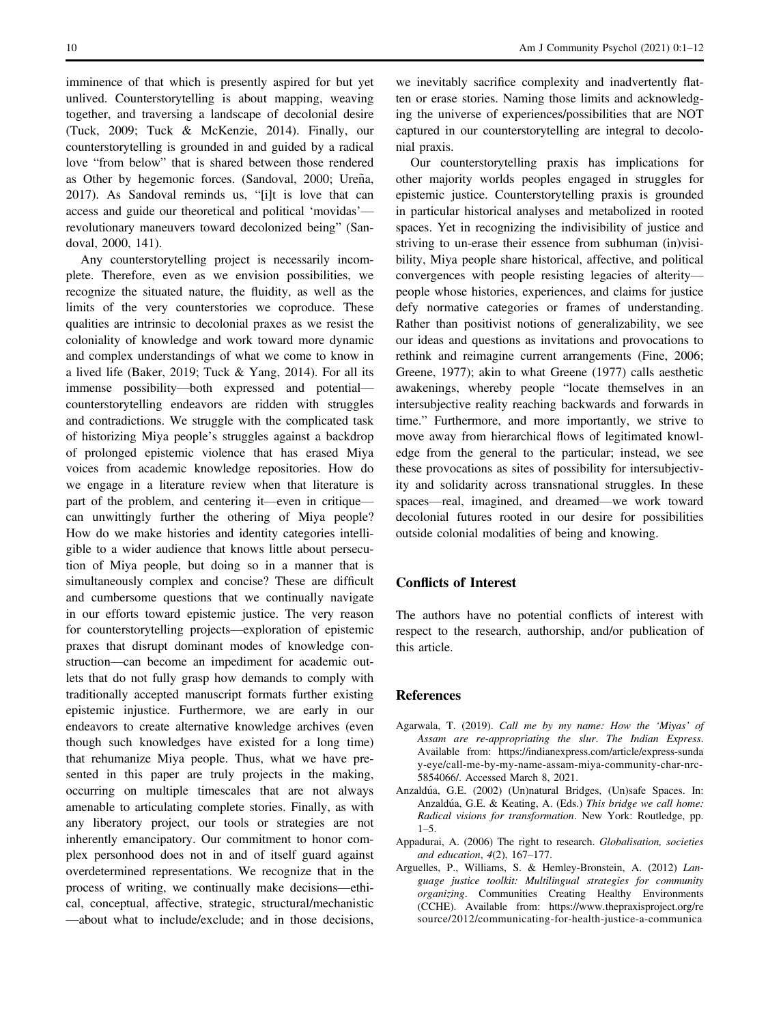imminence of that which is presently aspired for but yet unlived. Counterstorytelling is about mapping, weaving together, and traversing a landscape of decolonial desire (Tuck, 2009; Tuck & McKenzie, 2014). Finally, our counterstorytelling is grounded in and guided by a radical love "from below" that is shared between those rendered as Other by hegemonic forces. (Sandoval, 2000; Ureña, 2017). As Sandoval reminds us, "[i]t is love that can access and guide our theoretical and political 'movidas' revolutionary maneuvers toward decolonized being" (Sandoval, 2000, 141).

Any counterstorytelling project is necessarily incomplete. Therefore, even as we envision possibilities, we recognize the situated nature, the fluidity, as well as the limits of the very counterstories we coproduce. These qualities are intrinsic to decolonial praxes as we resist the coloniality of knowledge and work toward more dynamic and complex understandings of what we come to know in a lived life (Baker, 2019; Tuck & Yang, 2014). For all its immense possibility—both expressed and potential counterstorytelling endeavors are ridden with struggles and contradictions. We struggle with the complicated task of historizing Miya people's struggles against a backdrop of prolonged epistemic violence that has erased Miya voices from academic knowledge repositories. How do we engage in a literature review when that literature is part of the problem, and centering it—even in critique can unwittingly further the othering of Miya people? How do we make histories and identity categories intelligible to a wider audience that knows little about persecution of Miya people, but doing so in a manner that is simultaneously complex and concise? These are difficult and cumbersome questions that we continually navigate in our efforts toward epistemic justice. The very reason for counterstorytelling projects—exploration of epistemic praxes that disrupt dominant modes of knowledge construction—can become an impediment for academic outlets that do not fully grasp how demands to comply with traditionally accepted manuscript formats further existing epistemic injustice. Furthermore, we are early in our endeavors to create alternative knowledge archives (even though such knowledges have existed for a long time) that rehumanize Miya people. Thus, what we have presented in this paper are truly projects in the making, occurring on multiple timescales that are not always amenable to articulating complete stories. Finally, as with any liberatory project, our tools or strategies are not inherently emancipatory. Our commitment to honor complex personhood does not in and of itself guard against overdetermined representations. We recognize that in the process of writing, we continually make decisions—ethical, conceptual, affective, strategic, structural/mechanistic —about what to include/exclude; and in those decisions,

we inevitably sacrifice complexity and inadvertently flatten or erase stories. Naming those limits and acknowledging the universe of experiences/possibilities that are NOT captured in our counterstorytelling are integral to decolonial praxis.

Our counterstorytelling praxis has implications for other majority worlds peoples engaged in struggles for epistemic justice. Counterstorytelling praxis is grounded in particular historical analyses and metabolized in rooted spaces. Yet in recognizing the indivisibility of justice and striving to un-erase their essence from subhuman (in)visibility, Miya people share historical, affective, and political convergences with people resisting legacies of alterity people whose histories, experiences, and claims for justice defy normative categories or frames of understanding. Rather than positivist notions of generalizability, we see our ideas and questions as invitations and provocations to rethink and reimagine current arrangements (Fine, 2006; Greene, 1977); akin to what Greene (1977) calls aesthetic awakenings, whereby people "locate themselves in an intersubjective reality reaching backwards and forwards in time." Furthermore, and more importantly, we strive to move away from hierarchical flows of legitimated knowledge from the general to the particular; instead, we see these provocations as sites of possibility for intersubjectivity and solidarity across transnational struggles. In these spaces—real, imagined, and dreamed—we work toward decolonial futures rooted in our desire for possibilities outside colonial modalities of being and knowing.

#### Conflicts of Interest

The authors have no potential conflicts of interest with respect to the research, authorship, and/or publication of this article.

#### References

- Agarwala, T. (2019). Call me by my name: How the 'Miyas' of Assam are re-appropriating the slur. The Indian Express. Available from: [https://indianexpress.com/article/express-sunda](https://indianexpress.com/article/express-sunday-eye/call-me-by-my-name-assam-miya-community-char-nrc-5854066/) [y-eye/call-me-by-my-name-assam-miya-community-char-nrc-](https://indianexpress.com/article/express-sunday-eye/call-me-by-my-name-assam-miya-community-char-nrc-5854066/)[5854066/.](https://indianexpress.com/article/express-sunday-eye/call-me-by-my-name-assam-miya-community-char-nrc-5854066/) Accessed March 8, 2021.
- Anzaldúa, G.E. (2002) (Un)natural Bridges, (Un)safe Spaces. In: Anzaldúa, G.E. & Keating, A. (Eds.) This bridge we call home: Radical visions for transformation. New York: Routledge, pp.  $1 - 5$ .
- Appadurai, A. (2006) The right to research. Globalisation, societies and education, 4(2), 167–177.
- Arguelles, P., Williams, S. & Hemley-Bronstein, A. (2012) Language justice toolkit: Multilingual strategies for community organizing. Communities Creating Healthy Environments (CCHE). Available from: [https://www.thepraxisproject.org/re](https://www.thepraxisproject.org/resource/2012/communicating-for-health-justice-a-communications-strategy-curriculum-for-advancing-health-issues-pgmgh) [source/2012/communicating-for-health-justice-a-communica](https://www.thepraxisproject.org/resource/2012/communicating-for-health-justice-a-communications-strategy-curriculum-for-advancing-health-issues-pgmgh)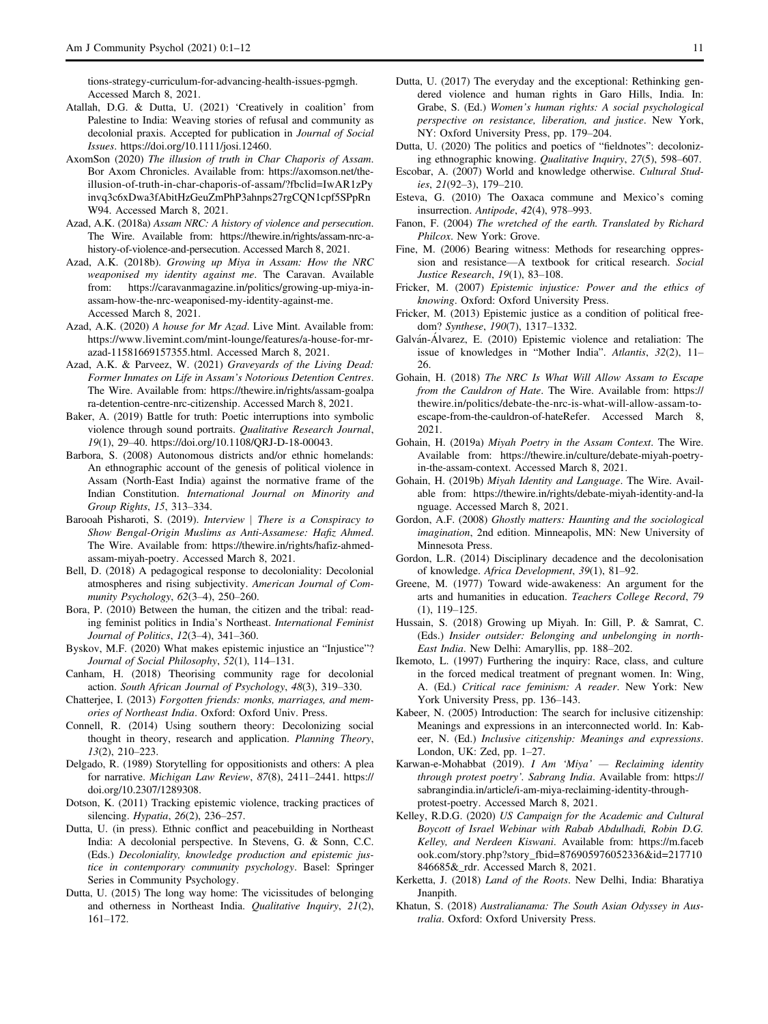[tions-strategy-curriculum-for-advancing-health-issues-pgmgh.](https://www.thepraxisproject.org/resource/2012/communicating-for-health-justice-a-communications-strategy-curriculum-for-advancing-health-issues-pgmgh) Accessed March 8, 2021.

- Atallah, D.G. & Dutta, U. (2021) 'Creatively in coalition' from Palestine to India: Weaving stories of refusal and community as decolonial praxis. Accepted for publication in Journal of Social Issues.<https://doi.org/10.1111/josi.12460>.
- AxomSon (2020) The illusion of truth in Char Chaporis of Assam. Bor Axom Chronicles. Available from: [https://axomson.net/the](https://axomson.net/the-illusion-of-truth-in-char-chaporis-of-assam/?fbclid=IwAR1zPyinvq3c6xDwa3fAbitHzGeuZmPhP3ahnps27rgCQN1cpf5SPpRnW94)[illusion-of-truth-in-char-chaporis-of-assam/?fbclid=IwAR1zPy](https://axomson.net/the-illusion-of-truth-in-char-chaporis-of-assam/?fbclid=IwAR1zPyinvq3c6xDwa3fAbitHzGeuZmPhP3ahnps27rgCQN1cpf5SPpRnW94) [invq3c6xDwa3fAbitHzGeuZmPhP3ahnps27rgCQN1cpf5SPpRn](https://axomson.net/the-illusion-of-truth-in-char-chaporis-of-assam/?fbclid=IwAR1zPyinvq3c6xDwa3fAbitHzGeuZmPhP3ahnps27rgCQN1cpf5SPpRnW94) [W94](https://axomson.net/the-illusion-of-truth-in-char-chaporis-of-assam/?fbclid=IwAR1zPyinvq3c6xDwa3fAbitHzGeuZmPhP3ahnps27rgCQN1cpf5SPpRnW94). Accessed March 8, 2021.
- Azad, A.K. (2018a) Assam NRC: A history of violence and persecution. The Wire. Available from: [https://thewire.in/rights/assam-nrc-a](https://thewire.in/rights/assam-nrc-a-history-of-violence-and-persecution)[history-of-violence-and-persecution.](https://thewire.in/rights/assam-nrc-a-history-of-violence-and-persecution) Accessed March 8, 2021.
- Azad, A.K. (2018b). Growing up Miya in Assam: How the NRC weaponised my identity against me. The Caravan. Available from: [https://caravanmagazine.in/politics/growing-up-miya-in](https://caravanmagazine.in/politics/growing-up-miya-in-assam-how-the-nrc-weaponised-my-identity-against-me)[assam-how-the-nrc-weaponised-my-identity-against-me.](https://caravanmagazine.in/politics/growing-up-miya-in-assam-how-the-nrc-weaponised-my-identity-against-me) Accessed March 8, 2021.
- Azad, A.K. (2020) A house for Mr Azad. Live Mint. Available from: [https://www.livemint.com/mint-lounge/features/a-house-for-mr](https://www.livemint.com/mint-lounge/features/a-house-for-mr-azad-11581669157355.html)[azad-11581669157355.html.](https://www.livemint.com/mint-lounge/features/a-house-for-mr-azad-11581669157355.html) Accessed March 8, 2021.
- Azad, A.K. & Parveez, W. (2021) Graveyards of the Living Dead: Former Inmates on Life in Assam's Notorious Detention Centres. The Wire. Available from: [https://thewire.in/rights/assam-goalpa](https://thewire.in/rights/assam-goalpara-detention-centre-nrc-citizenship) [ra-detention-centre-nrc-citizenship.](https://thewire.in/rights/assam-goalpara-detention-centre-nrc-citizenship) Accessed March 8, 2021.
- Baker, A. (2019) Battle for truth: Poetic interruptions into symbolic violence through sound portraits. Qualitative Research Journal, 19(1), 29–40.<https://doi.org/10.1108/QRJ-D-18-00043>.
- Barbora, S. (2008) Autonomous districts and/or ethnic homelands: An ethnographic account of the genesis of political violence in Assam (North-East India) against the normative frame of the Indian Constitution. International Journal on Minority and Group Rights, 15, 313–334.
- Barooah Pisharoti, S. (2019). Interview | There is a Conspiracy to Show Bengal-Origin Muslims as Anti-Assamese: Hafiz Ahmed. The Wire. Available from: [https://thewire.in/rights/hafiz-ahmed](https://thewire.in/rights/hafiz-ahmed-assam-miyah-poetry)[assam-miyah-poetry](https://thewire.in/rights/hafiz-ahmed-assam-miyah-poetry). Accessed March 8, 2021.
- Bell, D. (2018) A pedagogical response to decoloniality: Decolonial atmospheres and rising subjectivity. American Journal of Community Psychology, 62(3–4), 250–260.
- Bora, P. (2010) Between the human, the citizen and the tribal: reading feminist politics in India's Northeast. International Feminist Journal of Politics, 12(3–4), 341–360.
- Byskov, M.F. (2020) What makes epistemic injustice an "Injustice"? Journal of Social Philosophy, 52(1), 114–131.
- Canham, H. (2018) Theorising community rage for decolonial action. South African Journal of Psychology, 48(3), 319–330.
- Chatterjee, I. (2013) Forgotten friends: monks, marriages, and memories of Northeast India. Oxford: Oxford Univ. Press.
- Connell, R. (2014) Using southern theory: Decolonizing social thought in theory, research and application. Planning Theory, 13(2), 210–223.
- Delgado, R. (1989) Storytelling for oppositionists and others: A plea for narrative. Michigan Law Review, 87(8), 2411–2441. [https://](https://doi.org/10.2307/1289308) [doi.org/10.2307/1289308.](https://doi.org/10.2307/1289308)
- Dotson, K. (2011) Tracking epistemic violence, tracking practices of silencing. Hypatia, 26(2), 236–257.
- Dutta, U. (in press). Ethnic conflict and peacebuilding in Northeast India: A decolonial perspective. In Stevens, G. & Sonn, C.C. (Eds.) Decoloniality, knowledge production and epistemic justice in contemporary community psychology. Basel: Springer Series in Community Psychology.
- Dutta, U. (2015) The long way home: The vicissitudes of belonging and otherness in Northeast India. Qualitative Inquiry, 21(2), 161–172.
- Dutta, U. (2017) The everyday and the exceptional: Rethinking gendered violence and human rights in Garo Hills, India. In: Grabe, S. (Ed.) Women's human rights: A social psychological perspective on resistance, liberation, and justice. New York, NY: Oxford University Press, pp. 179–204.
- Dutta, U. (2020) The politics and poetics of "fieldnotes": decolonizing ethnographic knowing. Qualitative Inquiry, 27(5), 598–607.
- Escobar, A. (2007) World and knowledge otherwise. Cultural Studies, 21(92–3), 179–210.
- Esteva, G. (2010) The Oaxaca commune and Mexico's coming insurrection. Antipode, 42(4), 978–993.
- Fanon, F. (2004) The wretched of the earth. Translated by Richard Philcox. New York: Grove.
- Fine, M. (2006) Bearing witness: Methods for researching oppression and resistance—A textbook for critical research. Social Justice Research, 19(1), 83–108.
- Fricker, M. (2007) Epistemic injustice: Power and the ethics of knowing. Oxford: Oxford University Press.
- Fricker, M. (2013) Epistemic justice as a condition of political freedom? Synthese, 190(7), 1317–1332.
- Galvan-Alvarez, E. (2010) Epistemic violence and retaliation: The issue of knowledges in "Mother India". Atlantis, 32(2), 11– 26.
- Gohain, H. (2018) The NRC Is What Will Allow Assam to Escape from the Cauldron of Hate. The Wire. Available from: [https://](https://thewire.in/politics/debate-the-nrc-is-what-will-allow-assam-to-escape-from-the-cauldron-of-hateRefer) [thewire.in/politics/debate-the-nrc-is-what-will-allow-assam-to](https://thewire.in/politics/debate-the-nrc-is-what-will-allow-assam-to-escape-from-the-cauldron-of-hateRefer)[escape-from-the-cauldron-of-hateRefer](https://thewire.in/politics/debate-the-nrc-is-what-will-allow-assam-to-escape-from-the-cauldron-of-hateRefer). Accessed March 8, 2021.
- Gohain, H. (2019a) Miyah Poetry in the Assam Context. The Wire. Available from: [https://thewire.in/culture/debate-miyah-poetry](https://thewire.in/culture/debate-miyah-poetry-in-the-assam-context)[in-the-assam-context](https://thewire.in/culture/debate-miyah-poetry-in-the-assam-context). Accessed March 8, 2021.
- Gohain, H. (2019b) Miyah Identity and Language. The Wire. Available from: [https://thewire.in/rights/debate-miyah-identity-and-la](https://thewire.in/rights/debate-miyah-identity-and-language) [nguage](https://thewire.in/rights/debate-miyah-identity-and-language). Accessed March 8, 2021.
- Gordon, A.F. (2008) Ghostly matters: Haunting and the sociological imagination, 2nd edition. Minneapolis, MN: New University of Minnesota Press.
- Gordon, L.R. (2014) Disciplinary decadence and the decolonisation of knowledge. Africa Development, 39(1), 81–92.
- Greene, M. (1977) Toward wide-awakeness: An argument for the arts and humanities in education. Teachers College Record, 79 (1), 119–125.
- Hussain, S. (2018) Growing up Miyah. In: Gill, P. & Samrat, C. (Eds.) Insider outsider: Belonging and unbelonging in north-East India. New Delhi: Amaryllis, pp. 188–202.
- Ikemoto, L. (1997) Furthering the inquiry: Race, class, and culture in the forced medical treatment of pregnant women. In: Wing, A. (Ed.) Critical race feminism: A reader. New York: New York University Press, pp. 136–143.
- Kabeer, N. (2005) Introduction: The search for inclusive citizenship: Meanings and expressions in an interconnected world. In: Kabeer, N. (Ed.) Inclusive citizenship: Meanings and expressions. London, UK: Zed, pp. 1–27.
- Karwan-e-Mohabbat (2019). I Am 'Miya' Reclaiming identity through protest poetry'. Sabrang India. Available from: [https://](https://sabrangindia.in/article/i-am-miya-reclaiming-identity-through-protest-poetry) [sabrangindia.in/article/i-am-miya-reclaiming-identity-through](https://sabrangindia.in/article/i-am-miya-reclaiming-identity-through-protest-poetry)[protest-poetry.](https://sabrangindia.in/article/i-am-miya-reclaiming-identity-through-protest-poetry) Accessed March 8, 2021.
- Kelley, R.D.G. (2020) US Campaign for the Academic and Cultural Boycott of Israel Webinar with Rabab Abdulhadi, Robin D.G. Kelley, and Nerdeen Kiswani. Available from: [https://m.faceb](https://m.facebook.com/story.php?story_fbid=876905976052336&id=217710846685&_rdr) [ook.com/story.php?story\\_fbid=876905976052336&id=217710](https://m.facebook.com/story.php?story_fbid=876905976052336&id=217710846685&_rdr) [846685&\\_rdr.](https://m.facebook.com/story.php?story_fbid=876905976052336&id=217710846685&_rdr) Accessed March 8, 2021.
- Kerketta, J. (2018) Land of the Roots. New Delhi, India: Bharatiya Jnanpith.
- Khatun, S. (2018) Australianama: The South Asian Odyssey in Australia. Oxford: Oxford University Press.